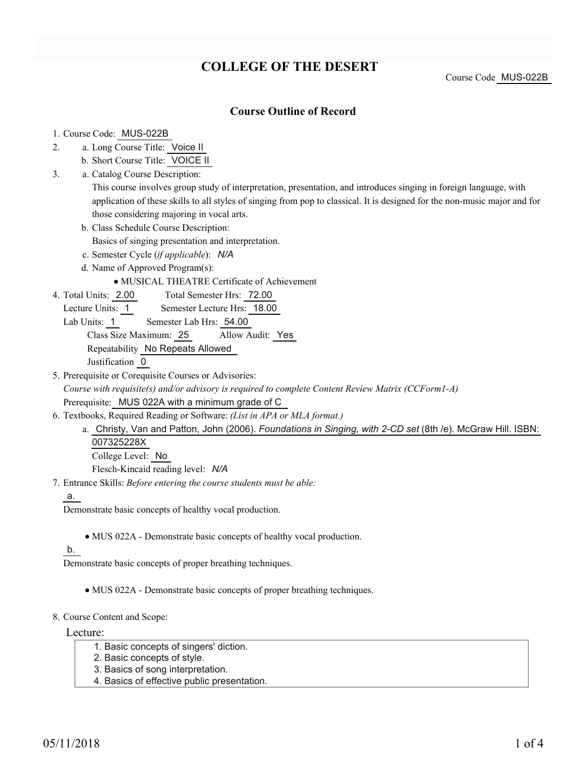# **COLLEGE OF THE DESERT**

Course Code MUS-022B

### **Course Outline of Record**

#### 1. Course Code: MUS-022B

- a. Long Course Title: Voice II 2.
	- b. Short Course Title: VOICE II
- Catalog Course Description: a. 3.

This course involves group study of interpretation, presentation, and introduces singing in foreign language, with application of these skills to all styles of singing from pop to classical. It is designed for the non-music major and for those considering majoring in vocal arts.

- b. Class Schedule Course Description:
	- Basics of singing presentation and interpretation.
- c. Semester Cycle (*if applicable*): *N/A*
- d. Name of Approved Program(s):
	- MUSICAL THEATRE Certificate of Achievement
- Total Semester Hrs: 72.00 4. Total Units: 2.00
	- Lecture Units: 1 Semester Lecture Hrs: 18.00
	- Lab Units: 1 Semester Lab Hrs: 54.00

Class Size Maximum: 25 Allow Audit: Yes

Repeatability No Repeats Allowed

Justification 0

- 5. Prerequisite or Corequisite Courses or Advisories: *Course with requisite(s) and/or advisory is required to complete Content Review Matrix (CCForm1-A)* Prerequisite: MUS 022A with a minimum grade of C
- Textbooks, Required Reading or Software: *(List in APA or MLA format.)* 6.
	- a. Christy, Van and Patton, John (2006). *Foundations in Singing, with 2-CD set* (8th /e). McGraw Hill. ISBN: 007325228X

College Level: No Flesch-Kincaid reading level: *N/A*

Entrance Skills: *Before entering the course students must be able:* 7.

a.

Demonstrate basic concepts of healthy vocal production.

MUS 022A - Demonstrate basic concepts of healthy vocal production.

### b.

Demonstrate basic concepts of proper breathing techniques.

- MUS 022A Demonstrate basic concepts of proper breathing techniques.
- 8. Course Content and Scope:

Lecture:

- 1. Basic concepts of singers' diction.
- 2. Basic concepts of style.
- 3. Basics of song interpretation.
- 4. Basics of effective public presentation.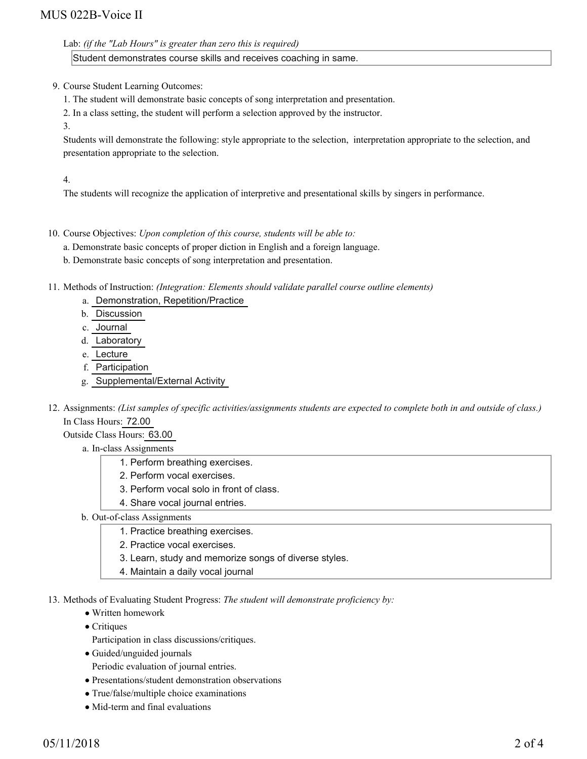## MUS 022B-Voice II

Lab: *(if the "Lab Hours" is greater than zero this is required)*

Student demonstrates course skills and receives coaching in same.

9. Course Student Learning Outcomes:

- 1. The student will demonstrate basic concepts of song interpretation and presentation.
- 2. In a class setting, the student will perform a selection approved by the instructor.

3.

Students will demonstrate the following: style appropriate to the selection, interpretation appropriate to the selection, and presentation appropriate to the selection.

4.

The students will recognize the application of interpretive and presentational skills by singers in performance.

10. Course Objectives: Upon completion of this course, students will be able to:

a. Demonstrate basic concepts of proper diction in English and a foreign language.

b. Demonstrate basic concepts of song interpretation and presentation.

Methods of Instruction: *(Integration: Elements should validate parallel course outline elements)* 11.

- a. Demonstration, Repetition/Practice
- b. Discussion
- c. Journal
- d. Laboratory
- e. Lecture
- f. Participation
- g. Supplemental/External Activity
- 12. Assignments: (List samples of specific activities/assignments students are expected to complete both in and outside of class.) In Class Hours: 72.00

Outside Class Hours: 63.00

- a. In-class Assignments
	- 1. Perform breathing exercises.
	- 2. Perform vocal exercises.
	- 3. Perform vocal solo in front of class.
	- 4. Share vocal journal entries.
- b. Out-of-class Assignments
	- 1. Practice breathing exercises.
	- 2. Practice vocal exercises.
	- 3. Learn, study and memorize songs of diverse styles.
	- 4. Maintain a daily vocal journal
- 13. Methods of Evaluating Student Progress: The student will demonstrate proficiency by:
	- Written homework
	- Critiques
		- Participation in class discussions/critiques.
	- Guided/unguided journals
	- Periodic evaluation of journal entries.
	- Presentations/student demonstration observations
	- True/false/multiple choice examinations
	- Mid-term and final evaluations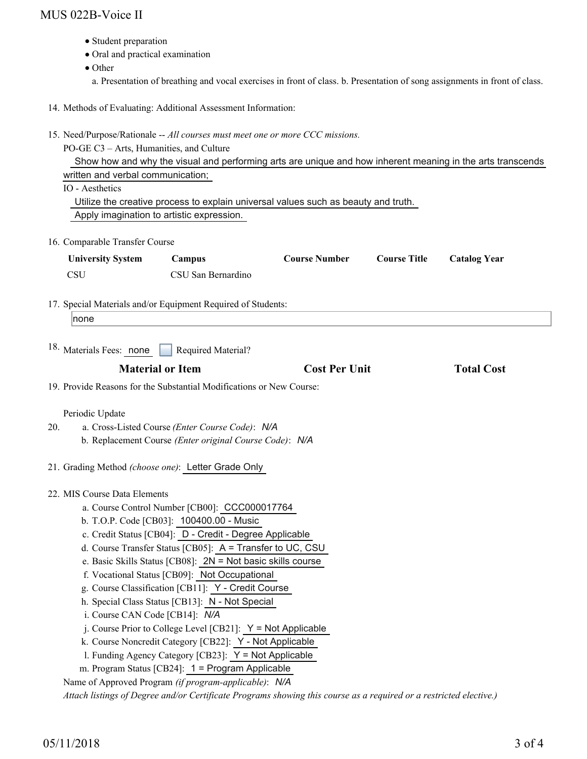### MUS 022B-Voice II

- Student preparation
- Oral and practical examination
- Other
	- a. Presentation of breathing and vocal exercises in front of class. b. Presentation of song assignments in front of class.
- 14. Methods of Evaluating: Additional Assessment Information:
- 15. Need/Purpose/Rationale -- All courses must meet one or more CCC missions.

PO-GE C3 – Arts, Humanities, and Culture Show how and why the visual and performing arts are unique and how inherent meaning in the arts transcends written and verbal communication; IO - Aesthetics Utilize the creative process to explain universal values such as beauty and truth. Apply imagination to artistic expression. 16. Comparable Transfer Course **University System Campus Course Number Course Title Catalog Year** CSU CSU San Bernardino 17. Special Materials and/or Equipment Required of Students: none

18. Materials Fees: none Required Material?

| <b>Material or Item</b> | <b>Cost Per Unit</b> | <b>Total Cost</b> |
|-------------------------|----------------------|-------------------|
|                         |                      |                   |

19. Provide Reasons for the Substantial Modifications or New Course:

#### Periodic Update

- a. Cross-Listed Course *(Enter Course Code)*: *N/A* b. Replacement Course *(Enter original Course Code)*: *N/A* 20.
- 21. Grading Method *(choose one)*: Letter Grade Only
- MIS Course Data Elements 22.
	- a. Course Control Number [CB00]: CCC000017764
	- b. T.O.P. Code [CB03]: 100400.00 Music
	- c. Credit Status [CB04]: D Credit Degree Applicable
	- d. Course Transfer Status [CB05]: A = Transfer to UC, CSU
	- e. Basic Skills Status [CB08]: 2N = Not basic skills course
	- f. Vocational Status [CB09]: Not Occupational
	- g. Course Classification [CB11]: Y Credit Course
	- h. Special Class Status [CB13]: N Not Special
	- i. Course CAN Code [CB14]: *N/A*
	- $i$ . Course Prior to College Level [CB21]:  $Y = Not$  Applicable
	- k. Course Noncredit Category [CB22]: Y Not Applicable
	- l. Funding Agency Category [CB23]: Y = Not Applicable
	- m. Program Status [CB24]: 1 = Program Applicable

Name of Approved Program *(if program-applicable)*: *N/A*

*Attach listings of Degree and/or Certificate Programs showing this course as a required or a restricted elective.)*